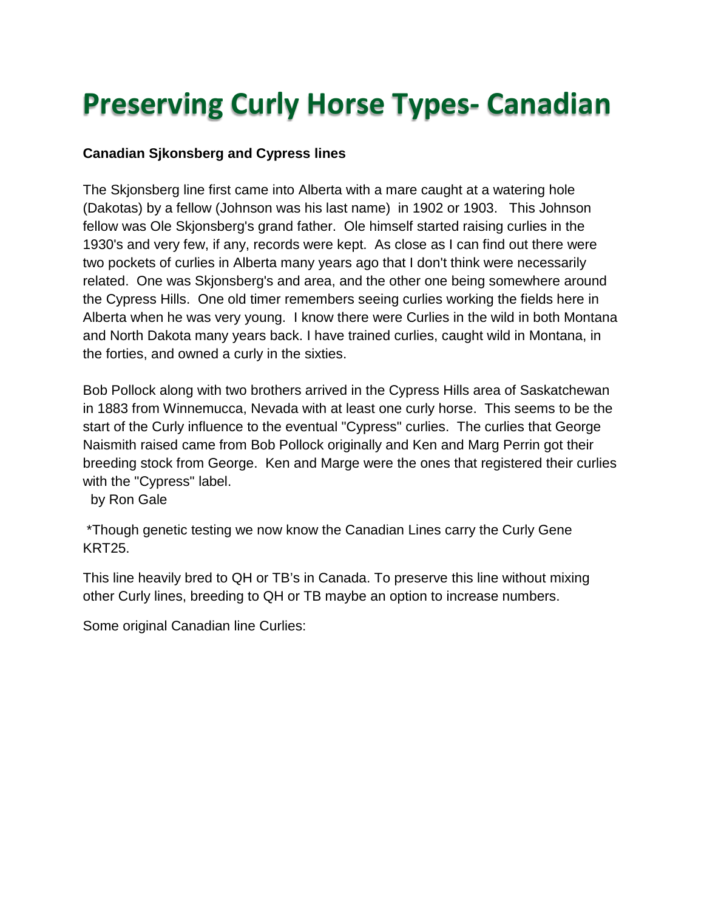## **Preserving Curly Horse Types- Canadian**

## **Canadian Sjkonsberg and Cypress lines**

The Skjonsberg line first came into Alberta with a mare caught at a watering hole (Dakotas) by a fellow (Johnson was his last name) in 1902 or 1903. This Johnson fellow was Ole Skjonsberg's grand father. Ole himself started raising curlies in the 1930's and very few, if any, records were kept. As close as I can find out there were two pockets of curlies in Alberta many years ago that I don't think were necessarily related. One was Skjonsberg's and area, and the other one being somewhere around the Cypress Hills. One old timer remembers seeing curlies working the fields here in Alberta when he was very young. I know there were Curlies in the wild in both Montana and North Dakota many years back. I have trained curlies, caught wild in Montana, in the forties, and owned a curly in the sixties.

Bob Pollock along with two brothers arrived in the Cypress Hills area of Saskatchewan in 1883 from Winnemucca, Nevada with at least one curly horse. This seems to be the start of the Curly influence to the eventual "Cypress" curlies. The curlies that George Naismith raised came from Bob Pollock originally and Ken and Marg Perrin got their breeding stock from George. Ken and Marge were the ones that registered their curlies with the "Cypress" label.

by Ron Gale

\*Though genetic testing we now know the Canadian Lines carry the Curly Gene KRT25.

This line heavily bred to QH or TB's in Canada. To preserve this line without mixing other Curly lines, breeding to QH or TB maybe an option to increase numbers.

Some original Canadian line Curlies: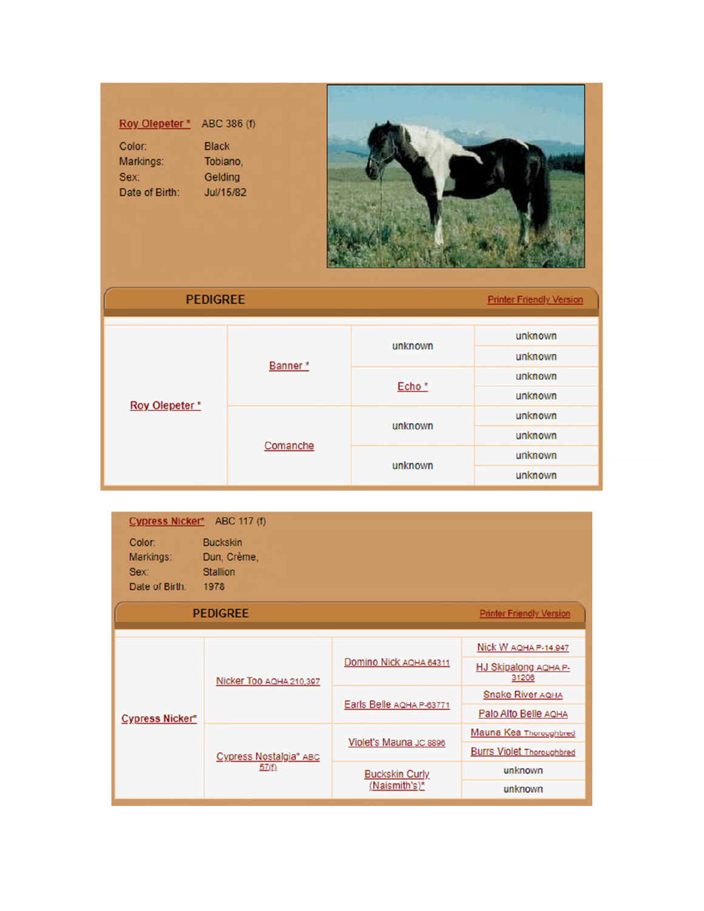| Roy Olepeter <sup>*</sup> | ABC 386 (f)  |
|---------------------------|--------------|
| Color:                    | <b>Black</b> |
| Markings:                 | Tobiano.     |
| Sex:                      | Gelding      |
| Date of Birth:            | Jul/15/82    |



| <b>PEDIGREE</b> |          |                   | <b>Printer Friendly Version</b> |
|-----------------|----------|-------------------|---------------------------------|
|                 | Banner*  | unknown           | unknown                         |
| Roy Olepeter*   |          |                   | unknown                         |
|                 |          | Echo <sup>*</sup> | unknown                         |
|                 |          |                   | unknown                         |
|                 | Comanche | unknown           | unknown                         |
|                 |          |                   | unknown                         |
|                 |          | unknown           | unknown                         |
|                 |          |                   | unknown                         |

| Cypress Nicker* ABC 117 (f)                   |                                                           |                                        |                                  |
|-----------------------------------------------|-----------------------------------------------------------|----------------------------------------|----------------------------------|
| Color:<br>Markings:<br>Sex:<br>Date of Birth: | <b>Buckskin</b><br>Dun, Crème,<br><b>Stallion</b><br>1978 |                                        |                                  |
|                                               | <b>PEDIGREE</b>                                           |                                        | <b>Printer Friendly Version</b>  |
| <b>Cypress Nicker*</b>                        | Nicker Too AQHA 210,397                                   | Domino Nick AQHA 64311                 | Nick W AQHA P-14,947             |
|                                               |                                                           |                                        | HJ Skipalong AQHA P-<br>31206    |
|                                               |                                                           | Earls Belle AQHA P-63771               | <b>Snake River AQHA</b>          |
|                                               |                                                           |                                        | Palo Alto Belle AQHA             |
|                                               | <b>Cypress Nostalgia* ABC</b><br>57(f)                    | Violet's Mauna JC 8896                 | Mauna Kea Thoroughbred           |
|                                               |                                                           |                                        | <b>Burrs Violet Thoroughbred</b> |
|                                               |                                                           | <b>Buckskin Curly</b><br>(Naismith's)* | unknown                          |
|                                               |                                                           |                                        | unknown                          |